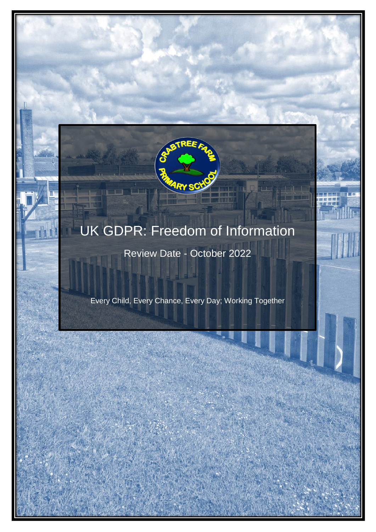# UK GDPR: Freedom of Information

**ARY SCY** 

**LEE** 

Review Date - October 2022

Every Child, Every Chance, Every Day; Working Together

UK GREEN GREEN GREEN IN FREEDOM OF INFORMATION

 $E$  and  $E$  and  $E$  and  $E$  and  $E$  and  $E$  and  $E$  and  $E$  and  $E$  and  $E$  and  $E$  and  $E$  and  $E$  and  $E$  and  $E$  and  $E$  and  $E$  and  $E$  and  $E$  and  $E$  and  $E$  and  $E$  and  $E$  and  $E$  and  $E$  and  $E$  and  $E$  and  $E$  a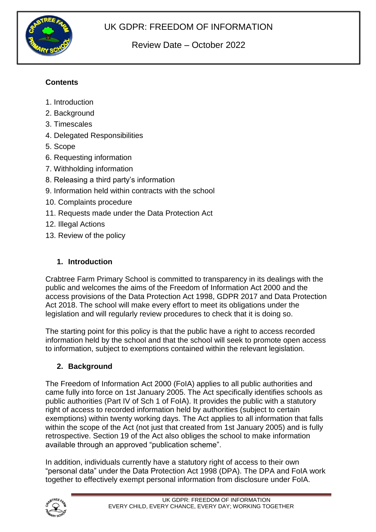

# Review Date – October 2022

# **Contents**

- 1. Introduction
- 2. Background
- 3. Timescales
- 4. Delegated Responsibilities
- 5. Scope
- 6. Requesting information
- 7. Withholding information
- 8. Releasing a third party's information
- 9. Information held within contracts with the school
- 10. Complaints procedure
- 11. Requests made under the Data Protection Act
- 12. Illegal Actions
- 13. Review of the policy

#### **1. Introduction**

Crabtree Farm Primary School is committed to transparency in its dealings with the public and welcomes the aims of the Freedom of Information Act 2000 and the access provisions of the Data Protection Act 1998, GDPR 2017 and Data Protection Act 2018. The school will make every effort to meet its obligations under the legislation and will regularly review procedures to check that it is doing so.

The starting point for this policy is that the public have a right to access recorded information held by the school and that the school will seek to promote open access to information, subject to exemptions contained within the relevant legislation.

#### **2. Background**

The Freedom of Information Act 2000 (FoIA) applies to all public authorities and came fully into force on 1st January 2005. The Act specifically identifies schools as public authorities (Part IV of Sch 1 of FoIA). It provides the public with a statutory right of access to recorded information held by authorities (subject to certain exemptions) within twenty working days. The Act applies to all information that falls within the scope of the Act (not just that created from 1st January 2005) and is fully retrospective. Section 19 of the Act also obliges the school to make information available through an approved "publication scheme".

In addition, individuals currently have a statutory right of access to their own "personal data" under the Data Protection Act 1998 (DPA). The DPA and FoIA work together to effectively exempt personal information from disclosure under FoIA.

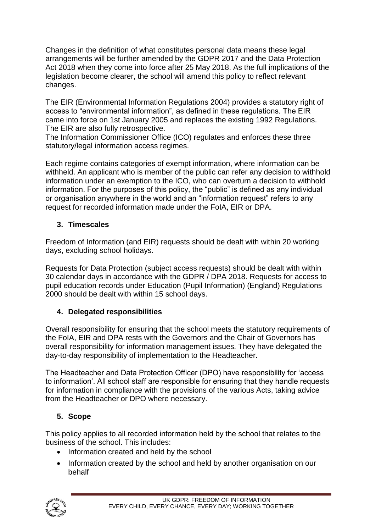Changes in the definition of what constitutes personal data means these legal arrangements will be further amended by the GDPR 2017 and the Data Protection Act 2018 when they come into force after 25 May 2018. As the full implications of the legislation become clearer, the school will amend this policy to reflect relevant changes.

The EIR (Environmental Information Regulations 2004) provides a statutory right of access to "environmental information", as defined in these regulations. The EIR came into force on 1st January 2005 and replaces the existing 1992 Regulations. The EIR are also fully retrospective.

The Information Commissioner Office (ICO) regulates and enforces these three statutory/legal information access regimes.

Each regime contains categories of exempt information, where information can be withheld. An applicant who is member of the public can refer any decision to withhold information under an exemption to the ICO, who can overturn a decision to withhold information. For the purposes of this policy, the "public" is defined as any individual or organisation anywhere in the world and an "information request" refers to any request for recorded information made under the FoIA, EIR or DPA.

# **3. Timescales**

Freedom of Information (and EIR) requests should be dealt with within 20 working days, excluding school holidays.

Requests for Data Protection (subject access requests) should be dealt with within 30 calendar days in accordance with the GDPR / DPA 2018. Requests for access to pupil education records under Education (Pupil Information) (England) Regulations 2000 should be dealt with within 15 school days.

# **4. Delegated responsibilities**

Overall responsibility for ensuring that the school meets the statutory requirements of the FoIA, EIR and DPA rests with the Governors and the Chair of Governors has overall responsibility for information management issues. They have delegated the day-to-day responsibility of implementation to the Headteacher.

The Headteacher and Data Protection Officer (DPO) have responsibility for 'access to information'. All school staff are responsible for ensuring that they handle requests for information in compliance with the provisions of the various Acts, taking advice from the Headteacher or DPO where necessary.

# **5. Scope**

This policy applies to all recorded information held by the school that relates to the business of the school. This includes:

- Information created and held by the school
- Information created by the school and held by another organisation on our behalf

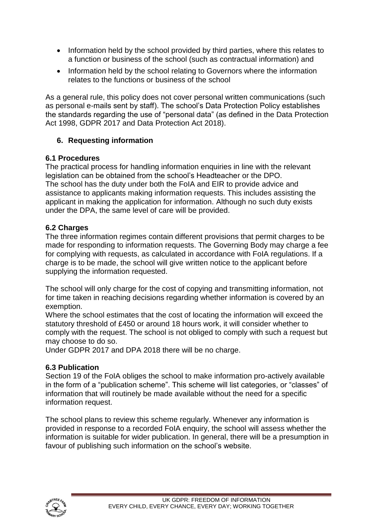- Information held by the school provided by third parties, where this relates to a function or business of the school (such as contractual information) and
- Information held by the school relating to Governors where the information relates to the functions or business of the school

As a general rule, this policy does not cover personal written communications (such as personal e-mails sent by staff). The school's Data Protection Policy establishes the standards regarding the use of "personal data" (as defined in the Data Protection Act 1998, GDPR 2017 and Data Protection Act 2018).

## **6. Requesting information**

#### **6.1 Procedures**

The practical process for handling information enquiries in line with the relevant legislation can be obtained from the school's Headteacher or the DPO. The school has the duty under both the FoIA and EIR to provide advice and assistance to applicants making information requests. This includes assisting the applicant in making the application for information. Although no such duty exists under the DPA, the same level of care will be provided.

## **6.2 Charges**

The three information regimes contain different provisions that permit charges to be made for responding to information requests. The Governing Body may charge a fee for complying with requests, as calculated in accordance with FoIA regulations. If a charge is to be made, the school will give written notice to the applicant before supplying the information requested.

The school will only charge for the cost of copying and transmitting information, not for time taken in reaching decisions regarding whether information is covered by an exemption.

Where the school estimates that the cost of locating the information will exceed the statutory threshold of £450 or around 18 hours work, it will consider whether to comply with the request. The school is not obliged to comply with such a request but may choose to do so.

Under GDPR 2017 and DPA 2018 there will be no charge.

#### **6.3 Publication**

Section 19 of the FoIA obliges the school to make information pro-actively available in the form of a "publication scheme". This scheme will list categories, or "classes" of information that will routinely be made available without the need for a specific information request.

The school plans to review this scheme regularly. Whenever any information is provided in response to a recorded FoIA enquiry, the school will assess whether the information is suitable for wider publication. In general, there will be a presumption in favour of publishing such information on the school's website.

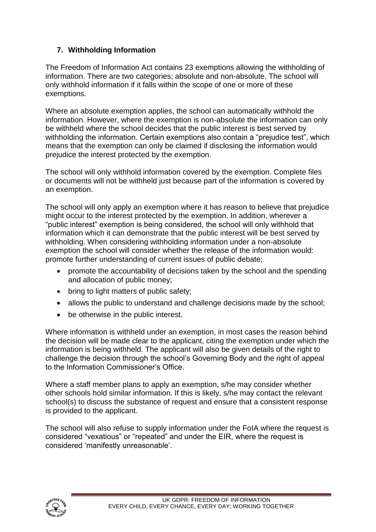# **7. Withholding Information**

The Freedom of Information Act contains 23 exemptions allowing the withholding of information. There are two categories; absolute and non-absolute. The school will only withhold information if it falls within the scope of one or more of these exemptions.

Where an absolute exemption applies, the school can automatically withhold the information. However, where the exemption is non-absolute the information can only be withheld where the school decides that the public interest is best served by withholding the information. Certain exemptions also contain a "prejudice test", which means that the exemption can only be claimed if disclosing the information would prejudice the interest protected by the exemption.

The school will only withhold information covered by the exemption. Complete files or documents will not be withheld just because part of the information is covered by an exemption.

The school will only apply an exemption where it has reason to believe that prejudice might occur to the interest protected by the exemption. In addition, wherever a "public interest" exemption is being considered, the school will only withhold that information which it can demonstrate that the public interest will be best served by withholding. When considering withholding information under a non-absolute exemption the school will consider whether the release of the information would: promote further understanding of current issues of public debate;

- promote the accountability of decisions taken by the school and the spending and allocation of public money;
- bring to light matters of public safety;
- allows the public to understand and challenge decisions made by the school;
- be otherwise in the public interest.

Where information is withheld under an exemption, in most cases the reason behind the decision will be made clear to the applicant, citing the exemption under which the information is being withheld. The applicant will also be given details of the right to challenge the decision through the school's Governing Body and the right of appeal to the Information Commissioner's Office.

Where a staff member plans to apply an exemption, s/he may consider whether other schools hold similar information. If this is likely, s/he may contact the relevant school(s) to discuss the substance of request and ensure that a consistent response is provided to the applicant.

The school will also refuse to supply information under the FoIA where the request is considered "vexatious" or "repeated" and under the EIR, where the request is considered 'manifestly unreasonable'.

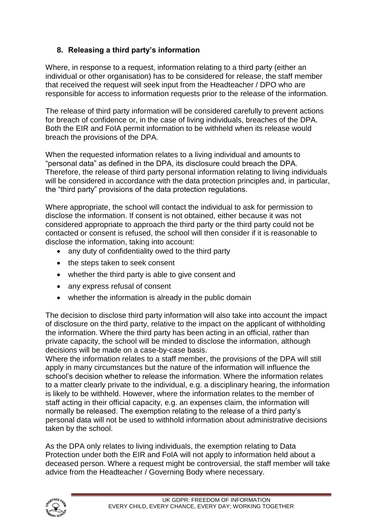# **8. Releasing a third party's information**

Where, in response to a request, information relating to a third party (either an individual or other organisation) has to be considered for release, the staff member that received the request will seek input from the Headteacher / DPO who are responsible for access to information requests prior to the release of the information.

The release of third party information will be considered carefully to prevent actions for breach of confidence or, in the case of living individuals, breaches of the DPA. Both the EIR and FoIA permit information to be withheld when its release would breach the provisions of the DPA.

When the requested information relates to a living individual and amounts to "personal data" as defined in the DPA, its disclosure could breach the DPA. Therefore, the release of third party personal information relating to living individuals will be considered in accordance with the data protection principles and, in particular, the "third party" provisions of the data protection regulations.

Where appropriate, the school will contact the individual to ask for permission to disclose the information. If consent is not obtained, either because it was not considered appropriate to approach the third party or the third party could not be contacted or consent is refused, the school will then consider if it is reasonable to disclose the information, taking into account:

- any duty of confidentiality owed to the third party
- the steps taken to seek consent
- whether the third party is able to give consent and
- any express refusal of consent
- whether the information is already in the public domain

The decision to disclose third party information will also take into account the impact of disclosure on the third party, relative to the impact on the applicant of withholding the information. Where the third party has been acting in an official, rather than private capacity, the school will be minded to disclose the information, although decisions will be made on a case-by-case basis.

Where the information relates to a staff member, the provisions of the DPA will still apply in many circumstances but the nature of the information will influence the school's decision whether to release the information. Where the information relates to a matter clearly private to the individual, e.g. a disciplinary hearing, the information is likely to be withheld. However, where the information relates to the member of staff acting in their official capacity, e.g. an expenses claim, the information will normally be released. The exemption relating to the release of a third party's personal data will not be used to withhold information about administrative decisions taken by the school.

As the DPA only relates to living individuals, the exemption relating to Data Protection under both the EIR and FoIA will not apply to information held about a deceased person. Where a request might be controversial, the staff member will take advice from the Headteacher / Governing Body where necessary.

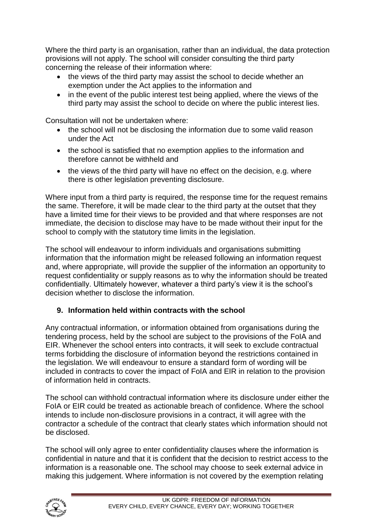Where the third party is an organisation, rather than an individual, the data protection provisions will not apply. The school will consider consulting the third party concerning the release of their information where:

- the views of the third party may assist the school to decide whether an exemption under the Act applies to the information and
- in the event of the public interest test being applied, where the views of the third party may assist the school to decide on where the public interest lies.

Consultation will not be undertaken where:

- the school will not be disclosing the information due to some valid reason under the Act
- the school is satisfied that no exemption applies to the information and therefore cannot be withheld and
- the views of the third party will have no effect on the decision, e.g. where there is other legislation preventing disclosure.

Where input from a third party is required, the response time for the request remains the same. Therefore, it will be made clear to the third party at the outset that they have a limited time for their views to be provided and that where responses are not immediate, the decision to disclose may have to be made without their input for the school to comply with the statutory time limits in the legislation.

The school will endeavour to inform individuals and organisations submitting information that the information might be released following an information request and, where appropriate, will provide the supplier of the information an opportunity to request confidentiality or supply reasons as to why the information should be treated confidentially. Ultimately however, whatever a third party's view it is the school's decision whether to disclose the information.

## **9. Information held within contracts with the school**

Any contractual information, or information obtained from organisations during the tendering process, held by the school are subject to the provisions of the FoIA and EIR. Whenever the school enters into contracts, it will seek to exclude contractual terms forbidding the disclosure of information beyond the restrictions contained in the legislation. We will endeavour to ensure a standard form of wording will be included in contracts to cover the impact of FoIA and EIR in relation to the provision of information held in contracts.

The school can withhold contractual information where its disclosure under either the FoIA or EIR could be treated as actionable breach of confidence. Where the school intends to include non-disclosure provisions in a contract, it will agree with the contractor a schedule of the contract that clearly states which information should not be disclosed.

The school will only agree to enter confidentiality clauses where the information is confidential in nature and that it is confident that the decision to restrict access to the information is a reasonable one. The school may choose to seek external advice in making this judgement. Where information is not covered by the exemption relating

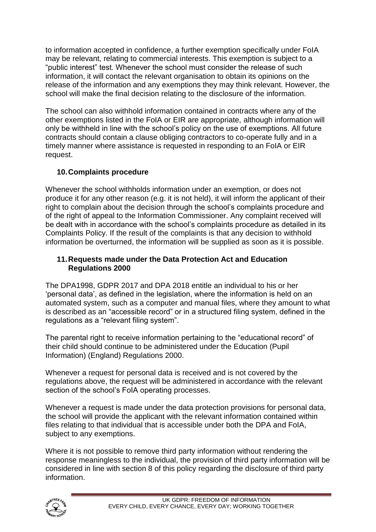to information accepted in confidence, a further exemption specifically under FoIA may be relevant, relating to commercial interests. This exemption is subject to a "public interest" test. Whenever the school must consider the release of such information, it will contact the relevant organisation to obtain its opinions on the release of the information and any exemptions they may think relevant. However, the school will make the final decision relating to the disclosure of the information.

The school can also withhold information contained in contracts where any of the other exemptions listed in the FoIA or EIR are appropriate, although information will only be withheld in line with the school's policy on the use of exemptions. All future contracts should contain a clause obliging contractors to co-operate fully and in a timely manner where assistance is requested in responding to an FoIA or EIR request.

## **10.Complaints procedure**

Whenever the school withholds information under an exemption, or does not produce it for any other reason (e.g. it is not held), it will inform the applicant of their right to complain about the decision through the school's complaints procedure and of the right of appeal to the Information Commissioner. Any complaint received will be dealt with in accordance with the school's complaints procedure as detailed in its Complaints Policy. If the result of the complaints is that any decision to withhold information be overturned, the information will be supplied as soon as it is possible.

#### **11.Requests made under the Data Protection Act and Education Regulations 2000**

The DPA1998, GDPR 2017 and DPA 2018 entitle an individual to his or her 'personal data', as defined in the legislation, where the information is held on an automated system, such as a computer and manual files, where they amount to what is described as an "accessible record" or in a structured filing system, defined in the regulations as a "relevant filing system".

The parental right to receive information pertaining to the "educational record" of their child should continue to be administered under the Education (Pupil Information) (England) Regulations 2000.

Whenever a request for personal data is received and is not covered by the regulations above, the request will be administered in accordance with the relevant section of the school's FoIA operating processes.

Whenever a request is made under the data protection provisions for personal data, the school will provide the applicant with the relevant information contained within files relating to that individual that is accessible under both the DPA and FoIA, subject to any exemptions.

Where it is not possible to remove third party information without rendering the response meaningless to the individual, the provision of third party information will be considered in line with section 8 of this policy regarding the disclosure of third party information.